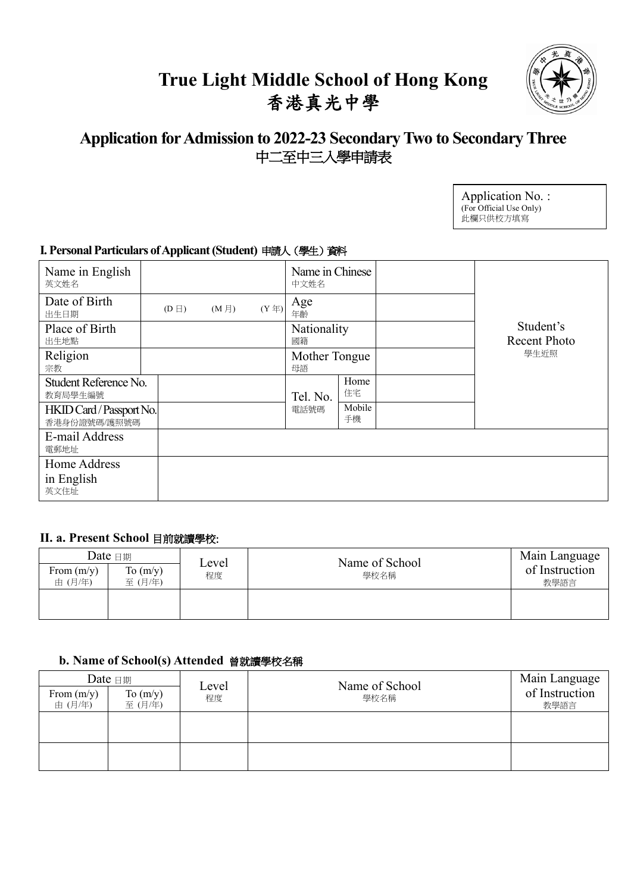# **True Light Middle School of Hong Kong** 香港真光中學



# **Application for Admission to 2022-23 Secondary Two to Secondary Three** 中二至中三入學申請表

| Application No.:        |
|-------------------------|
| (For Official Use Only) |
| 此欄只供校方填寫                |

# **I. Personal Particulars of Applicant (Student)** 申請人(學生)資料

| Name in English<br>英文姓名                  |            |                   |                  | Name in Chinese<br>中文姓名 |              |                           |
|------------------------------------------|------------|-------------------|------------------|-------------------------|--------------|---------------------------|
| Date of Birth<br>出生日期                    | $(D \Box)$ | (M <sup>1</sup> ) | $(Y \nsubseteq)$ | Age<br>年齡               |              |                           |
| Place of Birth<br>出生地點                   |            |                   |                  | Nationality<br>國籍       |              | Student's<br>Recent Photo |
| Religion<br>宗教                           |            |                   |                  | Mother Tongue<br>母語     |              | 學生近照                      |
| Student Reference No.<br>教育局學生編號         |            |                   |                  | Tel. No.                | Home<br>住宅   |                           |
| HKID Card / Passport No.<br>香港身份證號碼/護照號碼 |            |                   |                  | 電話號碼                    | Mobile<br>手機 |                           |
| E-mail Address<br>電郵地址                   |            |                   |                  |                         |              |                           |
| Home Address                             |            |                   |                  |                         |              |                           |
| in English<br>英文住址                       |            |                   |                  |                         |              |                           |

#### **II. a. Present School** 目前就讀學校:

| From $(m/y)$<br>由 (月/年) | Date $\boxplus$ 期<br>To $(m/y)$<br>至(月/年) | Level<br>程度 | Name of School<br>學校名稱 | Main Language<br>of Instruction<br>教學語言 |
|-------------------------|-------------------------------------------|-------------|------------------------|-----------------------------------------|
|                         |                                           |             |                        |                                         |

### **b. Name of School(s) Attended** 曾就讀學校名稱

| Date $\boxplus$         |                      | Level | Name of School | Main Language |                        |
|-------------------------|----------------------|-------|----------------|---------------|------------------------|
| From $(m/y)$<br>由 (月/年) | To $(m/y)$<br>至(月/年) | 程度    |                | 學校名稱          | of Instruction<br>教學語言 |
|                         |                      |       |                |               |                        |
|                         |                      |       |                |               |                        |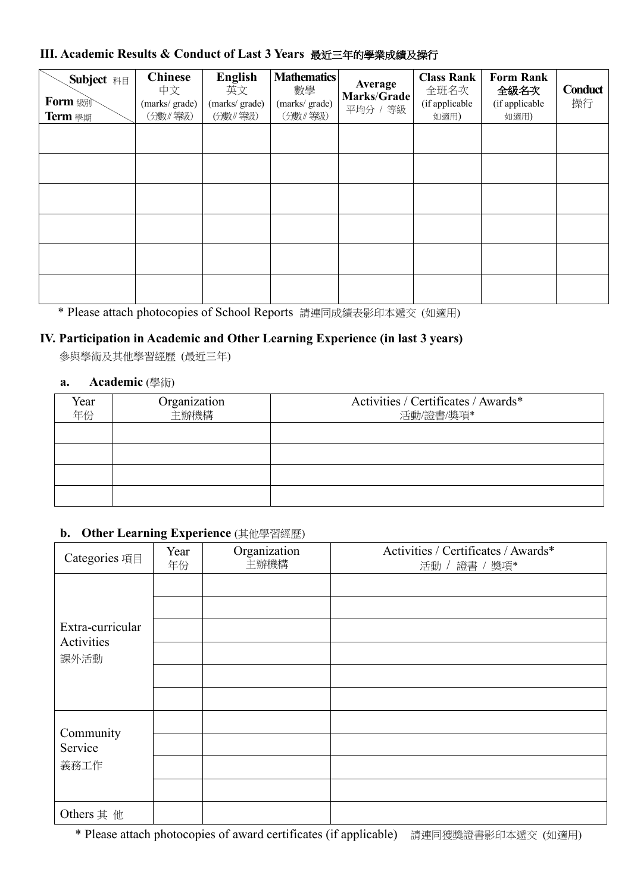## **III. Academic Results & Conduct of Last 3 Years** 最近三年的學業成績及操行

| <b>Subject</b> 科目<br><b>Form</b> &<br>Term 學期 | <b>Chinese</b><br>中文<br>(marks/grade)<br>(分數/等級) | <b>English</b><br>英文<br>(marks/grade)<br>(分數/等級) | <b>Mathematics</b><br>數學<br>(marks/grade)<br>(分數/等級) | Average<br>Marks/Grade<br>平均分 / 等級 | <b>Class Rank</b><br>全班名次<br>(if applicable<br>如適用) | <b>Form Rank</b><br>全級名次<br>(if applicable<br>如適用) | Conduct<br>操行 |
|-----------------------------------------------|--------------------------------------------------|--------------------------------------------------|------------------------------------------------------|------------------------------------|-----------------------------------------------------|----------------------------------------------------|---------------|
|                                               |                                                  |                                                  |                                                      |                                    |                                                     |                                                    |               |
|                                               |                                                  |                                                  |                                                      |                                    |                                                     |                                                    |               |
|                                               |                                                  |                                                  |                                                      |                                    |                                                     |                                                    |               |
|                                               |                                                  |                                                  |                                                      |                                    |                                                     |                                                    |               |
|                                               |                                                  |                                                  |                                                      |                                    |                                                     |                                                    |               |
|                                               |                                                  |                                                  |                                                      |                                    |                                                     |                                                    |               |

\* Please attach photocopies of School Reports 請連同成績表影印本遞交 (如適用)

### **IV. Participation in Academic and Other Learning Experience (in last 3 years)**

參與學術及其他學習經歷 (最近三年)

#### **a. Academic** (學術)

| Year<br>年份 | Organization<br>主辦機構 | Activities / Certificates / Awards*<br>活動/證書/獎項* |
|------------|----------------------|--------------------------------------------------|
|            |                      |                                                  |
|            |                      |                                                  |
|            |                      |                                                  |
|            |                      |                                                  |

### **b. Other Learning Experience** (其他學習經歷)

| Categories 項目    | Year<br>年份 | Organization<br>主辦機構 | Activities / Certificates / Awards*<br>活動 / 證書 / 獎項* |
|------------------|------------|----------------------|------------------------------------------------------|
| Extra-curricular |            |                      |                                                      |
| Activities       |            |                      |                                                      |
| 課外活動             |            |                      |                                                      |
|                  |            |                      |                                                      |
| Community        |            |                      |                                                      |
| Service          |            |                      |                                                      |
| 義務工作             |            |                      |                                                      |
|                  |            |                      |                                                      |
| Others 其 他       |            |                      |                                                      |

\* Please attach photocopies of award certificates (if applicable) 請連同獲獎證書影印本遞交 (如適用)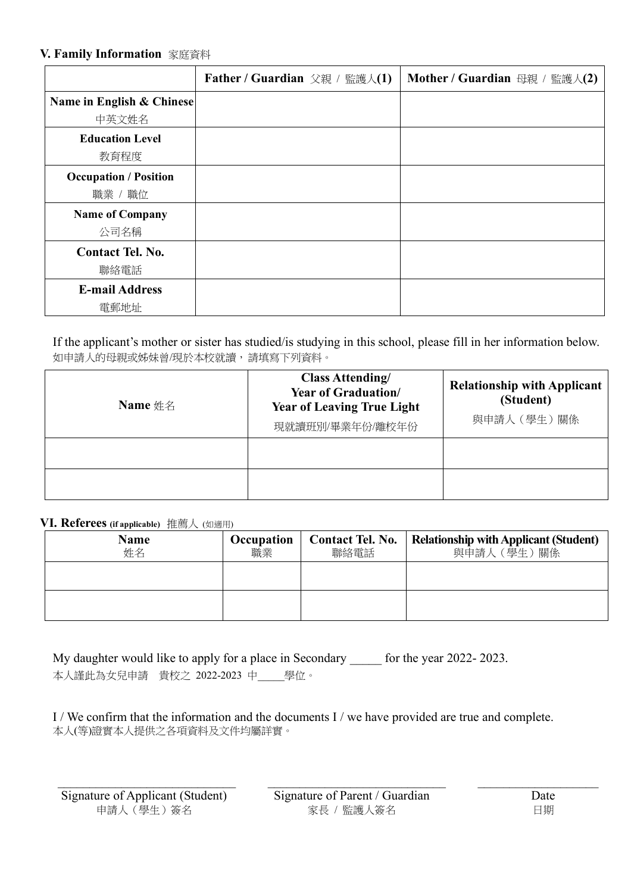#### **V. Family Information** 家庭資料

|                                         | <b>Father / Guardian</b> 父親 / 監護人(1) | Mother / Guardian 母親 / 監護人(2) |
|-----------------------------------------|--------------------------------------|-------------------------------|
| Name in English & Chinese<br>中英文姓名      |                                      |                               |
| <b>Education Level</b><br>教育程度          |                                      |                               |
| <b>Occupation / Position</b><br>職業 / 職位 |                                      |                               |
| <b>Name of Company</b><br>公司名稱          |                                      |                               |
| <b>Contact Tel. No.</b><br>聯絡電話         |                                      |                               |
| <b>E-mail Address</b><br>電郵地址           |                                      |                               |

If the applicant's mother or sister has studied/is studying in this school, please fill in her information below. 如申請人的母親或姊妹曾/現於本校就讀,請填寫下列資料。

| Name $\#$ $\&$ | <b>Class Attending/</b><br><b>Year of Graduation/</b><br><b>Year of Leaving True Light</b><br>現就讀班別/畢業年份/離校年份 | <b>Relationship with Applicant</b><br>(Student)<br>與申請人 (學生)關係 |
|----------------|---------------------------------------------------------------------------------------------------------------|----------------------------------------------------------------|
|                |                                                                                                               |                                                                |
|                |                                                                                                               |                                                                |

#### **VI. Referees (if applicable)** 推薦人 (如適用)

| <b>Name</b><br>姓名 | Occupation<br>職業 | <b>Contact Tel. No.</b><br>聯絡電話 | <b>Relationship with Applicant (Student)</b><br>與申請人 (學生) 關係 |
|-------------------|------------------|---------------------------------|--------------------------------------------------------------|
|                   |                  |                                 |                                                              |
|                   |                  |                                 |                                                              |

My daughter would like to apply for a place in Secondary \_\_\_\_\_ for the year 2022- 2023. 本人謹此為女兒申請 貴校之 2022-2023 中\_\_\_\_\_學位。

I / We confirm that the information and the documents I / we have provided are true and complete. 本人(等)證實本人提供之各項資料及文件均屬詳實。

Signature of Applicant (Student) Signature of Parent / Guardian Date

申請人(學生)簽名 アンチュー 家長 / 監護人簽名 マンチュー 日期

 $\mathcal{L}_\mathcal{L} = \{ \mathcal{L}_\mathcal{L} = \{ \mathcal{L}_\mathcal{L} = \{ \mathcal{L}_\mathcal{L} = \{ \mathcal{L}_\mathcal{L} = \{ \mathcal{L}_\mathcal{L} = \{ \mathcal{L}_\mathcal{L} = \{ \mathcal{L}_\mathcal{L} = \{ \mathcal{L}_\mathcal{L} = \{ \mathcal{L}_\mathcal{L} = \{ \mathcal{L}_\mathcal{L} = \{ \mathcal{L}_\mathcal{L} = \{ \mathcal{L}_\mathcal{L} = \{ \mathcal{L}_\mathcal{L} = \{ \mathcal{L}_\mathcal{$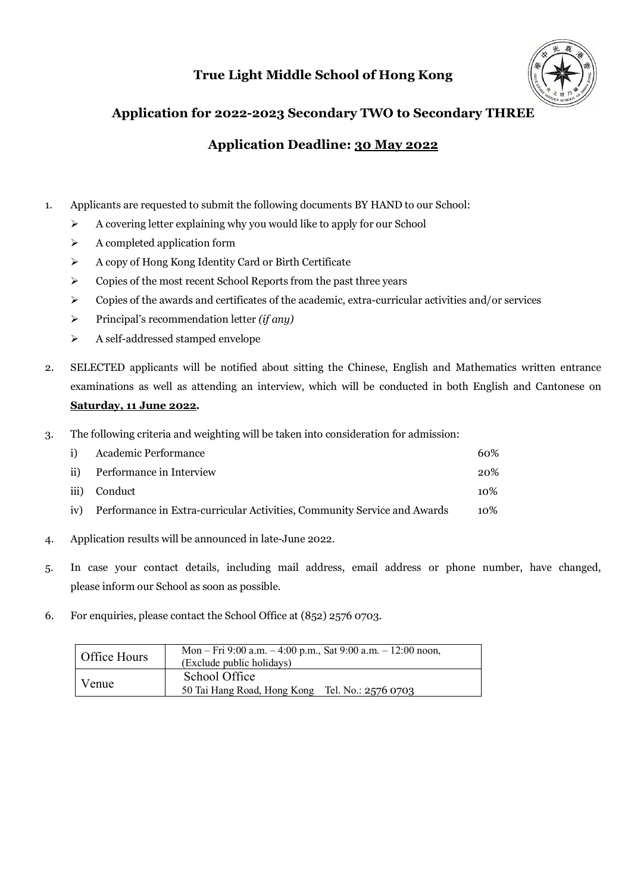# **True Light Middle School of Hong Kong**



## **Application for 2022-2023 Secondary TWO to Secondary THREE**

### **Application Deadline: 30 May 2022**

- 1. Applicants are requested to submit the following documents BY HAND to our School:
	- $\triangleright$  A covering letter explaining why you would like to apply for our School
	- $\triangleright$  A completed application form
	- Ø A copy of Hong Kong Identity Card or Birth Certificate
	- $\triangleright$  Copies of the most recent School Reports from the past three years
	- $\triangleright$  Copies of the awards and certificates of the academic, extra-curricular activities and/or services
	- Ø Principal's recommendation letter *(if any)*
	- $\triangleright$  A self-addressed stamped envelope
- 2. SELECTED applicants will be notified about sitting the Chinese, English and Mathematics written entrance examinations as well as attending an interview, which will be conducted in both English and Cantonese on **Saturday, 11 June 2022.**
- 3. The following criteria and weighting will be taken into consideration for admission:

|     | i) Academic Performance                                                  | 60% |
|-----|--------------------------------------------------------------------------|-----|
|     | ii) Performance in Interview                                             | 20% |
|     | iii) Conduct                                                             | 10% |
| iv) | Performance in Extra-curricular Activities, Community Service and Awards | 10% |

- 4. Application results will be announced in late-June 2022.
- 5. In case your contact details, including mail address, email address or phone number, have changed, please inform our School as soon as possible.
- 6. For enquiries, please contact the School Office at (852) 2576 0703.

| Office Hours | Mon – Fri 9:00 a.m. – 4:00 p.m., Sat 9:00 a.m. – 12:00 noon,<br>(Exclude public holidays) |
|--------------|-------------------------------------------------------------------------------------------|
| Venue        | School Office                                                                             |
|              | 50 Tai Hang Road, Hong Kong Tel. No.: 2576 0703                                           |